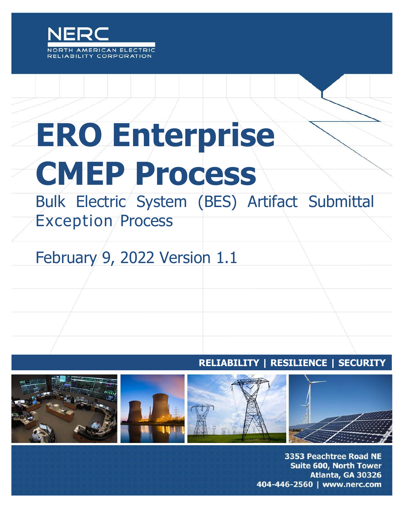

# **ERO Enterprise CMEP Process**

Bulk Electric System (BES) Artifact Submittal Exception Process

## February 9, 2022 Version 1.1

#### **RELIABILITY | RESILIENCE | SECURITY**



3353 Peachtree Road NE Suite 600, North Tower Atlanta, GA 30326 404-446-2560 | www.nerc.com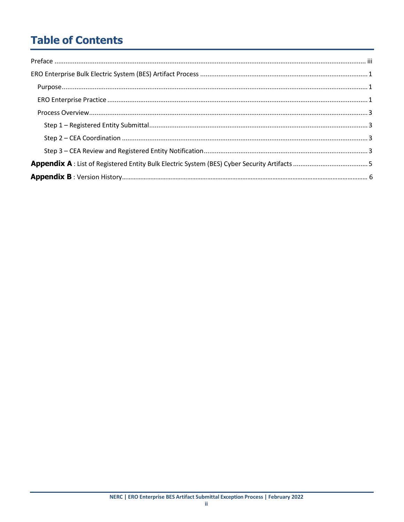## **Table of Contents**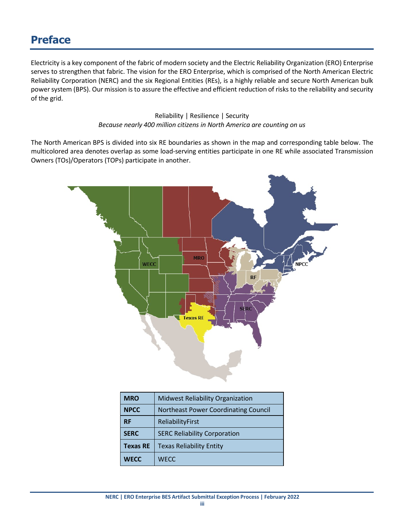### **Preface**

<span id="page-2-0"></span>Electricity is a key component of the fabric of modern society and the Electric Reliability Organization (ERO) Enterprise serves to strengthen that fabric. The vision for the ERO Enterprise, which is comprised of the North American Electric Reliability Corporation (NERC) and the six Regional Entities (REs), is a highly reliable and secure North American bulk power system (BPS). Our mission is to assure the effective and efficient reduction of risks to the reliability and security of the grid.

> Reliability | Resilience | Security *Because nearly 400 million citizens in North America are counting on us*

The North American BPS is divided into six RE boundaries as shown in the map and corresponding table below. The multicolored area denotes overlap as some load-serving entities participate in one RE while associated Transmission Owners (TOs)/Operators (TOPs) participate in another.



| <b>MRO</b>      | <b>Midwest Reliability Organization</b>     |  |
|-----------------|---------------------------------------------|--|
| <b>NPCC</b>     | <b>Northeast Power Coordinating Council</b> |  |
| <b>RF</b>       | ReliabilityFirst                            |  |
| <b>SERC</b>     | <b>SERC Reliability Corporation</b>         |  |
| <b>Texas RE</b> | <b>Texas Reliability Entity</b>             |  |
| <b>WECC</b>     | <b>WECC</b>                                 |  |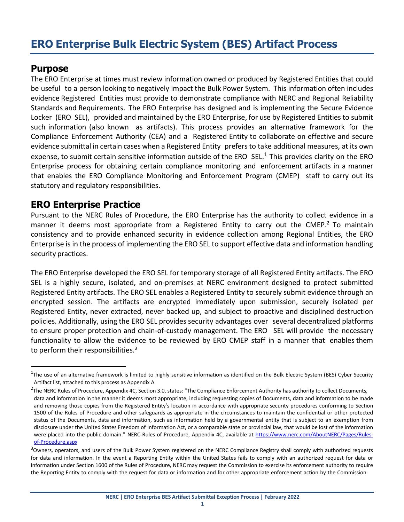## **ERO Enterprise Bulk Electric System (BES) Artifact Process**

#### <span id="page-3-0"></span>**Purpose**

The ERO Enterprise at times must review information owned or produced by Registered Entities that could be useful to a person looking to negatively impact the Bulk Power System. This information often includes evidence Registered Entities must provide to demonstrate compliance with NERC and Regional Reliability Standards and Requirements. The ERO Enterprise has designed and is implementing the Secure Evidence Locker (ERO SEL), provided and maintained by the ERO Enterprise, for use by Registered Entities to submit such information (also known as artifacts). This process provides an alternative framework for the Compliance Enforcement Authority (CEA) and a Registered Entity to collaborate on effective and secure evidence submittal in certain cases when a Registered Entity prefers to take additional measures, at its own expense, to submit certain sensitive information outside of the ERO SEL.<sup>1</sup> This provides clarity on the ERO Enterprise process for obtaining certain compliance monitoring and enforcement artifacts in a manner that enables the ERO Compliance Monitoring and Enforcement Program (CMEP) staff to carry out its statutory and regulatory responsibilities.

#### <span id="page-3-1"></span>**ERO Enterprise Practice**

Pursuant to the NERC Rules of Procedure, the ERO Enterprise has the authority to collect evidence in a manner it deems most appropriate from a Registered Entity to carry out the CMEP.<sup>2</sup> To maintain consistency and to provide enhanced security in evidence collection among Regional Entities, the ERO Enterprise is in the process of implementing the ERO SEL to support effective data and information handling security practices.

The ERO Enterprise developed the ERO SEL for temporary storage of all Registered Entity artifacts. The ERO SEL is a highly secure, isolated, and on-premises at NERC environment designed to protect submitted Registered Entity artifacts. The ERO SEL enables a Registered Entity to securely submit evidence through an encrypted session. The artifacts are encrypted immediately upon submission, securely isolated per Registered Entity, never extracted, never backed up, and subject to proactive and disciplined destruction policies. Additionally, using the ERO SEL provides security advantages over several decentralized platforms to ensure proper protection and chain-of-custody management. The ERO SEL will provide the necessary functionality to allow the evidence to be reviewed by ERO CMEP staff in a manner that enables them to perform their responsibilities. $3$ 

<span id="page-3-2"></span> $1$ The use of an alternative framework is limited to highly sensitive information as identified on the Bulk Electric System (BES) Cyber Security Artifact list, attached to this process as Appendix A.

<span id="page-3-3"></span><sup>&</sup>lt;sup>2</sup>The NERC Rules of Procedure, Appendix 4C, Section 3.0, states: "The Compliance Enforcement Authority has authority to collect Documents, data and information in the manner it deems most appropriate, including requesting copies of Documents, data and information to be made and removing those copies from the Registered Entity's location in accordance with appropriate security procedures conforming to Section 1500 of the Rules of Procedure and other safeguards as appropriate in the circumstances to maintain the confidential or other protected status of the Documents, data and information, such as information held by a governmental entity that is subject to an exemption from disclosure under the United States Freedom of Information Act, or a comparable state or provincial law, that would be lost of the information were placed into the public domain." NERC Rules of Procedure, Appendix 4C, available at [https://www.nerc.com/AboutNERC/Pages/Rules](https://www.nerc.com/AboutNERC/Pages/Rules-of-Procedure.aspx)[of-Procedure.aspx](https://www.nerc.com/AboutNERC/Pages/Rules-of-Procedure.aspx)

<span id="page-3-4"></span><sup>&</sup>lt;sup>3</sup>Owners, operators, and users of the Bulk Power System registered on the NERC Compliance Registry shall comply with authorized requests for data and information. In the event a Reporting Entity within the United States fails to comply with an authorized request for data or information under Section 1600 of the Rules of Procedure, NERC may request the Commission to exercise its enforcement authority to require the Reporting Entity to comply with the request for data or information and for other appropriate enforcement action by the Commission.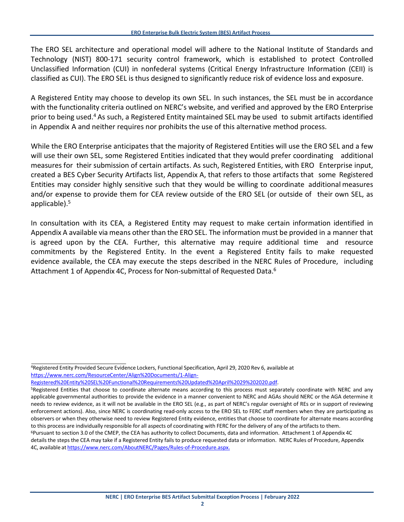The ERO SEL architecture and operational model will adhere to the National Institute of Standards and Technology (NIST) 800-171 security control framework, which is established to protect Controlled Unclassified Information (CUI) in nonfederal systems (Critical Energy Infrastructure Information (CEII) is classified as CUI). The ERO SEL is thus designed to significantly reduce risk of evidence loss and exposure.

A Registered Entity may choose to develop its own SEL. In such instances, the SEL must be in accordance with the functionality criteria outlined on NERC's website, and verified and approved by the ERO Enterprise prior to being used[.4](#page-4-0) As such, a Registered Entity maintained SEL may be used to submit artifacts identified in Appendix A and neither requires nor prohibits the use of this alternative method process.

While the ERO Enterprise anticipates that the majority of Registered Entities will use the ERO SEL and a few will use their own SEL, some Registered Entities indicated that they would prefer coordinating additional measures for their submission of certain artifacts. As such, Registered Entities, with ERO Enterprise input, created a BES Cyber Security Artifacts list, Appendix A, that refers to those artifacts that some Registered Entities may consider highly sensitive such that they would be willing to coordinate additional measures and/or expense to provide them for CEA review outside of the ERO SEL (or outside of their own SEL, as applicable). $5$ 

In consultation with its CEA, a Registered Entity may request to make certain information identified in Appendix A available via means other than the ERO SEL. The information must be provided in a manner that is agreed upon by the CEA. Further, this alternative may require additional time and resource commitments by the Registered Entity. In the event a Registered Entity fails to make requested evidence available, the CEA may execute the steps described in the NERC Rules of Procedure, including Attachment 1 of Appendix 4C, Process for Non-submittal of Requested Data.<sup>6</sup>

[Registered%20Entity%20SEL%20Functional%20Requirements%20Updated%20April%2029%202020.pdf.](https://www.nerc.com/ResourceCenter/Align%20Documents/1-Align-Registered%20Entity%20SEL%20Functional%20Requirements%20Updated%20April%2029%202020.pdf)

<span id="page-4-0"></span><sup>4</sup>Registered Entity Provided Secure Evidence Lockers, Functional Specification, April 29, 2020 Rev 6, available at [https://www.nerc.com/ResourceCenter/Align%20Documents/1-Align-](https://www.nerc.com/ResourceCenter/Align%20Documents/1-Align-Registered%20Entity%20SEL%20Functional%20Requirements%20Updated%20April%2029%202020.pdf)

<span id="page-4-1"></span><sup>&</sup>lt;sup>5</sup>Registered Entities that choose to coordinate alternate means according to this process must separately coordinate with NERC and any applicable governmental authorities to provide the evidence in a manner convenient to NERC and AGAs should NERC or the AGA determine it needs to review evidence, as it will not be available in the ERO SEL (e.g., as part of NERC's regular oversight of REs or in support of reviewing enforcement actions). Also, since NERC is coordinating read-only access to the ERO SEL to FERC staff members when they are participating as observers or when they otherwise need to review Registered Entity evidence, entities that choose to coordinate for alternate means according to this process are individually responsible for all aspects of coordinating with FERC for the delivery of any of the artifacts to them.  $6P$ ursuant to section 3.0 of the CMEP, the CEA has authority to collect Documents, data and information. Attachment 1 of Appendix 4C

<span id="page-4-2"></span>details the steps the CEA may take if a Registered Entity fails to produce requested data or information. NERC Rules of Procedure, Appendix 4C, available at [https://www.nerc.com/AboutNERC/Pages/Rules-of-Procedure.aspx.](https://www.nerc.com/AboutNERC/Pages/Rules-of-Procedure.aspx)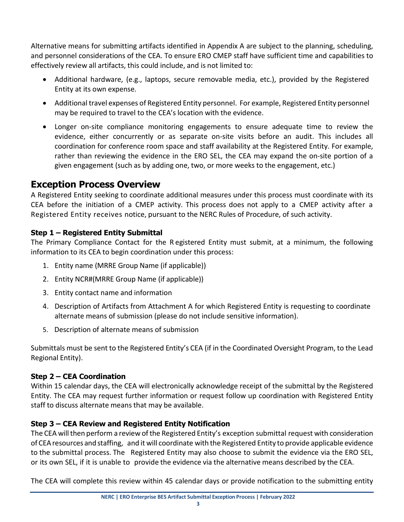Alternative means for submitting artifacts identified in Appendix A are subject to the planning, scheduling, and personnel considerations of the CEA. To ensure ERO CMEP staff have sufficient time and capabilities to effectively review all artifacts, this could include, and is not limited to:

- Additional hardware, (e.g., laptops, secure removable media, etc.), provided by the Registered Entity at its own expense.
- Additional travel expenses of Registered Entity personnel. For example, Registered Entity personnel may be required to travel to the CEA's location with the evidence.
- Longer on-site compliance monitoring engagements to ensure adequate time to review the evidence, either concurrently or as separate on-site visits before an audit. This includes all coordination for conference room space and staff availability at the Registered Entity. For example, rather than reviewing the evidence in the ERO SEL, the CEA may expand the on-site portion of a given engagement (such as by adding one, two, or more weeks to the engagement, etc.)

#### <span id="page-5-0"></span>**Exception Process Overview**

A Registered Entity seeking to coordinate additional measures under this process must coordinate with its CEA before the initiation of a CMEP activity. This process does not apply to a CMEP activity after a Registered Entity receives notice, pursuant to the NERC Rules of Procedure, of such activity.

#### <span id="page-5-1"></span>**Step 1 – Registered Entity Submittal**

The Primary Compliance Contact for the R egistered Entity must submit, at a minimum, the following information to its CEA to begin coordination under this process:

- 1. Entity name (MRRE Group Name (if applicable))
- 2. Entity NCR#(MRRE Group Name (if applicable))
- 3. Entity contact name and information
- 4. Description of Artifacts from Attachment A for which Registered Entity is requesting to coordinate alternate means of submission (please do not include sensitive information).
- 5. Description of alternate means of submission

Submittals must be sent to the Registered Entity's CEA (if in the Coordinated Oversight Program, to the Lead Regional Entity).

#### <span id="page-5-2"></span>**Step 2 – CEA Coordination**

Within 15 calendar days, the CEA will electronically acknowledge receipt of the submittal by the Registered Entity. The CEA may request further information or request follow up coordination with Registered Entity staff to discuss alternate means that may be available.

#### <span id="page-5-3"></span>**Step 3 – CEA Review and Registered Entity Notification**

The CEA will then perform a review of the Registered Entity's exception submittal request with consideration of CEAresources and staffing, and it will coordinate with the Registered Entity to provide applicable evidence to the submittal process. The Registered Entity may also choose to submit the evidence via the ERO SEL, or its own SEL, if it is unable to provide the evidence via the alternative means described by the CEA.

The CEA will complete this review within 45 calendar days or provide notification to the submitting entity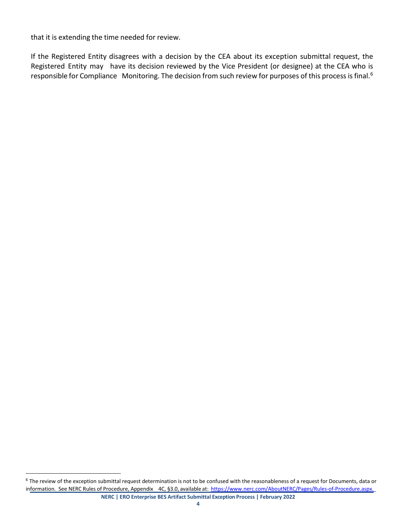that it is extending the time needed for review.

If the Registered Entity disagrees with a decision by the CEA about its exception submittal request, the Registered Entity may have its decision reviewed by the Vice President (or designee) at the CEA who is responsible for Compliance Monitoring. The decision from such review for purposes of this process is final.<sup>6</sup>

<span id="page-6-0"></span>**NERC | ERO Enterprise BES Artifact Submittal Exception Process | February 2022**  $6$  The review of the exception submittal request determination is not to be confused with the reasonableness of a request for Documents, data or information. See NERC Rules of Procedure, Appendix 4C, §3.0, available at: [https://www.nerc.com/AboutNERC/Pages/Rules-of-Procedure.aspx.](https://www.nerc.com/AboutNERC/Pages/Rules-of-Procedure.aspx)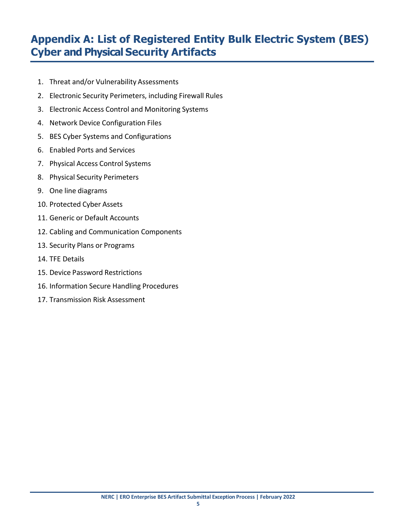## <span id="page-7-0"></span>**Appendix A: List of Registered Entity Bulk Electric System (BES) Cyber and Physical Security Artifacts**

- 1. Threat and/or Vulnerability Assessments
- 2. Electronic Security Perimeters, including Firewall Rules
- 3. Electronic Access Control and Monitoring Systems
- 4. Network Device Configuration Files
- 5. BES Cyber Systems and Configurations
- 6. Enabled Ports and Services
- 7. Physical Access Control Systems
- 8. Physical Security Perimeters
- 9. One line diagrams
- 10. Protected Cyber Assets
- 11. Generic or Default Accounts
- 12. Cabling and Communication Components
- 13. Security Plans or Programs
- 14. TFE Details
- 15. Device Password Restrictions
- 16. Information Secure Handling Procedures
- 17. Transmission Risk Assessment